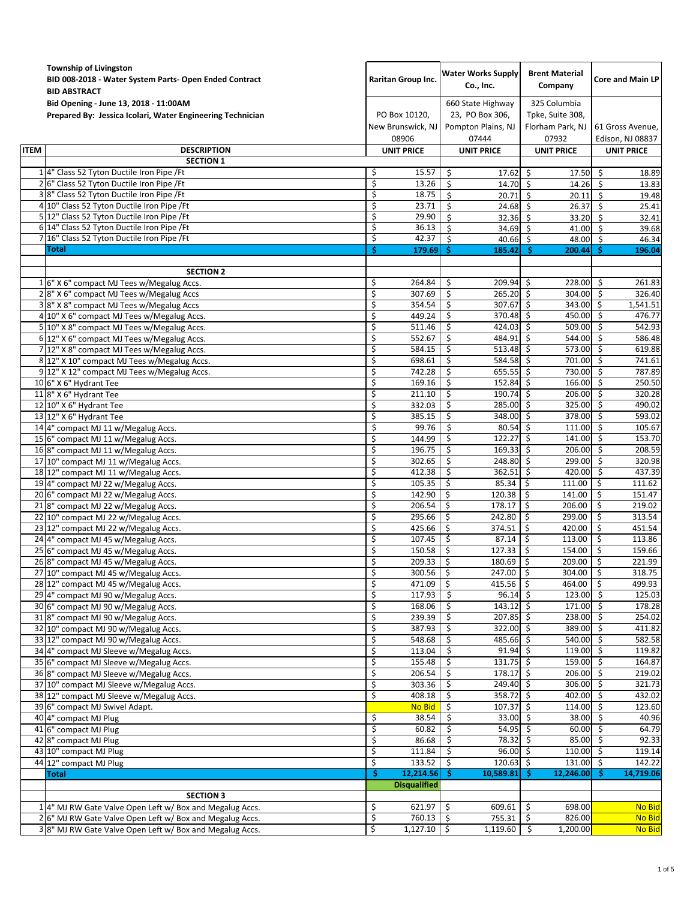|             | Township of Livingston<br>BID 008-2018 - Water System Parts- Open Ended Contract<br><b>BID ABSTRACT</b> |                                             | <b>Water Works Supply</b><br>Co., Inc.                              | <b>Brent Material</b><br>Company                              | <b>Core and Main LP</b>                                    |  |
|-------------|---------------------------------------------------------------------------------------------------------|---------------------------------------------|---------------------------------------------------------------------|---------------------------------------------------------------|------------------------------------------------------------|--|
|             | Bid Opening - June 13, 2018 - 11:00AM<br>Prepared By: Jessica Icolari, Water Engineering Technician     | PO Box 10120,<br>New Brunswick, NJ<br>08906 | 660 State Highway<br>23, PO Box 306,<br>Pompton Plains, NJ<br>07444 | 325 Columbia<br>Tpke, Suite 308,<br>Florham Park, NJ<br>07932 | 61 Gross Avenue,<br>Edison, NJ 08837                       |  |
| <b>ITEM</b> | <b>DESCRIPTION</b>                                                                                      | <b>UNIT PRICE</b>                           | <b>UNIT PRICE</b>                                                   | <b>UNIT PRICE</b>                                             | <b>UNIT PRICE</b>                                          |  |
|             | <b>SECTION 1</b>                                                                                        |                                             |                                                                     |                                                               |                                                            |  |
|             | 1 4" Class 52 Tyton Ductile Iron Pipe / Ft                                                              | \$<br>15.57<br>\$                           | \$<br>$17.62 \&$                                                    | 17.50                                                         | $\ddot{\mathsf{S}}$<br>18.89                               |  |
|             | 2 6" Class 52 Tyton Ductile Iron Pipe / Ft<br>38" Class 52 Tyton Ductile Iron Pipe / Ft                 | 13.26<br>\$<br>18.75                        | \$<br>14.70 \$<br>\$<br>20.71 \$                                    | 14.26<br>20.11                                                | $\dot{\mathsf{s}}$<br>13.83<br>$\ddot{\varsigma}$<br>19.48 |  |
|             | 4 10" Class 52 Tyton Ductile Iron Pipe / Ft                                                             | \$<br>23.71                                 | \$<br>$24.68$ \$                                                    | 26.37                                                         | $\zeta$<br>25.41                                           |  |
|             | 5 12" Class 52 Tyton Ductile Iron Pipe / Ft                                                             | 29.90<br>\$                                 | \$<br>$32.36$ \$                                                    | 33.20                                                         | 32.41<br>- Ś                                               |  |
|             | 6 14" Class 52 Tyton Ductile Iron Pipe / Ft                                                             | \$<br>36.13                                 | Ś<br>34.69 \$                                                       | 41.00                                                         | Ŝ.<br>39.68                                                |  |
|             | 7 16" Class 52 Tyton Ductile Iron Pipe / Ft                                                             | \$<br>42.37                                 | \$<br>$40.66$ \$                                                    | 48.00 \$                                                      | 46.34                                                      |  |
|             | Total                                                                                                   | Ŝ.<br>179.69                                | Ŝ.<br>185.42                                                        | -Ś<br>200.44                                                  | Ŝ<br>196.04                                                |  |
|             | <b>SECTION 2</b>                                                                                        |                                             |                                                                     |                                                               |                                                            |  |
|             | 16" X 6" compact MJ Tees w/Megalug Accs.                                                                | \$<br>264.84                                | \$<br>209.94                                                        | \$<br>228.00                                                  | -\$<br>261.83                                              |  |
|             | 28" X 6" compact MJ Tees w/Megalug Accs                                                                 | \$<br>307.69                                | \$<br>$265.20$ \$                                                   | 304.00 \$                                                     | 326.40                                                     |  |
|             | 3 8" X 8" compact MJ Tees w/Megalug Accs                                                                | \$<br>354.54                                | \$<br>$307.67$ \$                                                   | 343.00 \$                                                     | 1,541.51                                                   |  |
|             | 4 10" X 6" compact MJ Tees w/Megalug Accs.                                                              | \$<br>449.24                                | \$<br>370.48                                                        | \$<br>450.00                                                  | -\$<br>476.77                                              |  |
|             | 5 10" X 8" compact MJ Tees w/Megalug Accs.                                                              | \$<br>511.46                                | \$<br>424.03                                                        | \$<br>509.00                                                  | -\$<br>542.93                                              |  |
|             | 6 12" X 6" compact MJ Tees w/Megalug Accs.                                                              | \$<br>552.67                                | \$<br>484.91                                                        | -\$<br>544.00                                                 | -\$<br>586.48                                              |  |
|             | 7 12" X 8" compact MJ Tees w/Megalug Accs.                                                              | \$<br>584.15<br>\$                          | \$<br>513.48                                                        | $\overline{\mathsf{s}}$<br>573.00                             | $\mathsf{\hat{S}}$<br>619.88                               |  |
|             | 8 12" X 10" compact MJ Tees w/Megalug Accs.<br>9 12" X 12" compact MJ Tees w/Megalug Accs.              | 698.61<br>\$<br>742.28                      | \$<br>584.58<br>\$<br>655.55                                        | \$<br>701.00<br>\$<br>730.00                                  | -\$<br>741.61<br>$\overline{\mathbf{5}}$<br>787.89         |  |
|             | 10 6" X 6" Hydrant Tee                                                                                  | \$<br>169.16                                | \$<br>152.84                                                        | \$<br>166.00                                                  | $\zeta$<br>250.50                                          |  |
|             | 11 8" X 6" Hydrant Tee                                                                                  | \$<br>211.10                                | 190.74<br>\$                                                        | \$<br>206.00                                                  | 320.28<br>-\$                                              |  |
|             | 12 10" X 6" Hydrant Tee                                                                                 | \$<br>332.03                                | \$<br>285.00                                                        | $\zeta$<br>325.00                                             | S,<br>490.02                                               |  |
|             | 13 12" X 6" Hydrant Tee                                                                                 | \$<br>385.15                                | \$<br>348.00 \$                                                     | 378.00                                                        | \$<br>593.02                                               |  |
|             | 14 4" compact MJ 11 w/Megalug Accs.                                                                     | \$<br>99.76                                 | \$<br>$80.54$ \$                                                    | $111.00$ \$                                                   | 105.67                                                     |  |
|             | 15 6" compact MJ 11 w/Megalug Accs.                                                                     | \$<br>144.99                                | \$<br>122.27                                                        | \$<br>141.00                                                  | \$<br>153.70                                               |  |
|             | 16 8" compact MJ 11 w/Megalug Accs.                                                                     | \$<br>196.75                                | \$<br>169.33                                                        | \$<br>206.00                                                  | \$<br>208.59                                               |  |
|             | 17 10" compact MJ 11 w/Megalug Accs.                                                                    | \$<br>302.65<br>\$<br>412.38                | \$<br>248.80 \$<br>\$<br>362.51                                     | 299.00<br>-\$<br>420.00                                       | \$<br>320.98<br>$\mathsf{\hat{S}}$<br>437.39               |  |
|             | 18 12" compact MJ 11 w/Megalug Accs.<br>19 4" compact MJ 22 w/Megalug Accs.                             | \$<br>105.35                                | \$<br>85.34                                                         | \$<br>111.00                                                  | \$.<br>111.62                                              |  |
|             | 20 6" compact MJ 22 w/Megalug Accs.                                                                     | \$<br>142.90                                | \$<br>120.38                                                        | \$<br>141.00                                                  | \$<br>151.47                                               |  |
|             | 218" compact MJ 22 w/Megalug Accs.                                                                      | \$<br>206.54                                | \$<br>178.17                                                        | -\$<br>206.00                                                 | \$<br>219.02                                               |  |
|             | 22 10" compact MJ 22 w/Megalug Accs.                                                                    | \$<br>295.66                                | \$<br>242.80                                                        | 299.00<br>\$                                                  | \$<br>313.54                                               |  |
|             | 23 12" compact MJ 22 w/Megalug Accs.                                                                    | \$<br>425.66                                | \$<br>374.51                                                        | \$<br>420.00                                                  | \$<br>451.54                                               |  |
|             | 24 4" compact MJ 45 w/Megalug Accs.                                                                     | \$<br>107.45                                | \$<br>87.14                                                         | Ŝ.<br>113.00                                                  | \$<br>113.86                                               |  |
|             | 25 6" compact MJ 45 w/Megalug Accs.                                                                     | \$<br>150.58                                | 127.33<br>\$                                                        | $\ddot{\mathsf{S}}$<br>154.00                                 | $\zeta$<br>159.66                                          |  |
|             | 26 8" compact MJ 45 w/Megalug Accs.                                                                     | \$<br>209.33                                | \$<br>180.69                                                        | $\zeta$<br>209.00                                             | \$<br>221.99<br>318.75                                     |  |
|             | 27 10" compact MJ 45 w/Megalug Accs.<br>28 12" compact MJ 45 w/Megalug Accs.                            | \$<br>300.56 \$<br>\$<br>471.09             | 247.00 \$<br>- \$<br>$415.56$ \$                                    | 304.00 \$<br>464.00                                           | -\$<br>499.93                                              |  |
|             | 29 4" compact MJ 90 w/Megalug Accs.                                                                     | \$<br>117.93                                | \$<br>$96.14$ \$                                                    | 123.00 \$                                                     | 125.03                                                     |  |
|             | 30 6" compact MJ 90 w/Megalug Accs.                                                                     | \$<br>168.06                                | \$<br>$143.12 \div$                                                 | $171.00$ \$                                                   | 178.28                                                     |  |
|             | 31 8" compact MJ 90 w/Megalug Accs.                                                                     | \$<br>239.39                                | \$<br>$207.85$ \$                                                   | $238.00$ \$                                                   | 254.02                                                     |  |
|             | 32 10" compact MJ 90 w/Megalug Accs.                                                                    | \$<br>387.93                                | \$<br>$322.00$ \$                                                   | 389.00 \$                                                     | 411.82                                                     |  |
|             | 33 12" compact MJ 90 w/Megalug Accs.                                                                    | \$<br>548.68                                | \$<br>485.66 \$                                                     | 540.00 \$                                                     | 582.58                                                     |  |
|             | 34 4" compact MJ Sleeve w/Megalug Accs.                                                                 | \$<br>113.04                                | \$<br>91.94 \$                                                      | 119.00 \$                                                     | 119.82                                                     |  |
|             | 35 6" compact MJ Sleeve w/Megalug Accs.                                                                 | \$<br>155.48                                | \$<br>$131.75$ \$<br>$178.17$ \$                                    | 159.00 \$<br>206.00%                                          | 164.87<br>219.02                                           |  |
|             | 36 8" compact MJ Sleeve w/Megalug Accs.<br>37 10" compact MJ Sleeve w/Megalug Accs.                     | \$<br>206.54<br>\$<br>303.36                | \$<br>\$<br>249.40                                                  | $\ddot{\mathsf{S}}$<br>306.00                                 | -\$<br>321.73                                              |  |
|             | 38 12" compact MJ Sleeve w/Megalug Accs.                                                                | \$<br>408.18                                | \$<br>358.72 \$                                                     | 402.00 \$                                                     | 432.02                                                     |  |
|             | 39 6" compact MJ Swivel Adapt.                                                                          | No Bid                                      | \$<br>$107.37$ \$                                                   | $114.00$ \$                                                   | 123.60                                                     |  |
|             | 40 4" compact MJ Plug                                                                                   | \$<br>38.54                                 | \$<br>$33.00$ \$                                                    | $38.00$ \$                                                    | 40.96                                                      |  |
|             | 41 6" compact MJ Plug                                                                                   | \$<br>60.82                                 | \$<br>54.95 \$                                                      | 60.00 \$                                                      | 64.79                                                      |  |
|             | 42 8" compact MJ Plug                                                                                   | \$<br>86.68                                 | \$<br>78.32 \$                                                      | $85.00\frac{1}{5}$                                            | 92.33                                                      |  |
|             | 43 10" compact MJ Plug                                                                                  | \$<br>111.84                                | \$<br>$96.00$ \$                                                    | $110.00$ \$                                                   | 119.14                                                     |  |
|             | 44 12" compact MJ Plug<br>Total                                                                         | \$<br>133.52<br>12,214.56<br>Ŝ              | $120.63$ \$<br>\$<br>$\overline{\cdot}$<br>$10,589.81$ \$           | 131.00%<br>12,246.00                                          | 142.22<br>14,719.06<br>-Ś                                  |  |
|             |                                                                                                         | <b>Disqualified</b>                         |                                                                     |                                                               |                                                            |  |
|             | <b>SECTION 3</b>                                                                                        |                                             |                                                                     |                                                               |                                                            |  |
|             | 1 4" MJ RW Gate Valve Open Left w/ Box and Megalug Accs.                                                | \$<br>621.97                                | \$<br>609.61                                                        | 698.00<br>\$                                                  | <b>No Bid</b>                                              |  |
|             | 2 6" MJ RW Gate Valve Open Left w/ Box and Megalug Accs.                                                | \$<br>760.13 \$                             | 755.31                                                              | \$<br>826.00                                                  | No Bid                                                     |  |
|             | 38" MJ RW Gate Valve Open Left w/ Box and Megalug Accs.                                                 | \$<br>$1,127.10$ \$                         | 1,119.60                                                            | Ŝ.<br>1,200.00                                                | No Bid                                                     |  |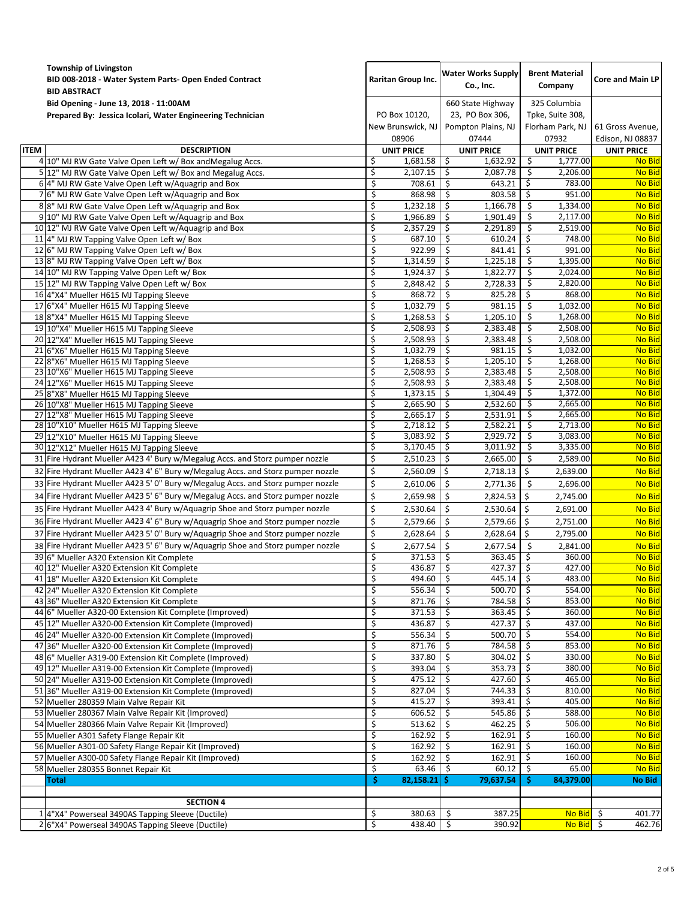|             | <b>Township of Livingston</b><br>BID 008-2018 - Water System Parts- Open Ended Contract<br><b>BID ABSTRACT</b>       | <b>Raritan Group Inc.</b>                   |                      | <b>Water Works Supply</b><br>Co., Inc.                              |                   | <b>Brent Material</b><br>Company                              |                    | <b>Core and Main LP</b>              |  |
|-------------|----------------------------------------------------------------------------------------------------------------------|---------------------------------------------|----------------------|---------------------------------------------------------------------|-------------------|---------------------------------------------------------------|--------------------|--------------------------------------|--|
|             | Bid Opening - June 13, 2018 - 11:00AM<br>Prepared By: Jessica Icolari, Water Engineering Technician                  | PO Box 10120,<br>New Brunswick, NJ<br>08906 |                      | 660 State Highway<br>23, PO Box 306,<br>Pompton Plains, NJ<br>07444 |                   | 325 Columbia<br>Tpke, Suite 308,<br>Florham Park, NJ<br>07932 |                    | 61 Gross Avenue,<br>Edison, NJ 08837 |  |
| <b>ITEM</b> | <b>DESCRIPTION</b>                                                                                                   |                                             | <b>UNIT PRICE</b>    |                                                                     | <b>UNIT PRICE</b> | <b>UNIT PRICE</b>                                             |                    | <b>UNIT PRICE</b>                    |  |
|             | 4 10" MJ RW Gate Valve Open Left w/ Box and Megalug Accs.                                                            | \$                                          | 1,681.58             | \$                                                                  | 1,632.92          | -\$                                                           | 1,777.00           | <b>No Bid</b>                        |  |
|             | 5 12" MJ RW Gate Valve Open Left w/ Box and Megalug Accs.                                                            | \$                                          | 2,107.15             | \$                                                                  | 2,087.78          | -\$                                                           | 2,206.00           | <b>No Bid</b>                        |  |
|             | 6 4" MJ RW Gate Valve Open Left w/Aquagrip and Box                                                                   | \$                                          | 708.61               | \$                                                                  | 643.21            | \$                                                            | 783.00             | <b>No Bid</b>                        |  |
|             | 7 6" MJ RW Gate Valve Open Left w/Aquagrip and Box                                                                   | \$                                          | 868.98               | \$                                                                  | 803.58            | \$                                                            | 951.00             | <b>No Bid</b>                        |  |
|             | 8 8" MJ RW Gate Valve Open Left w/Aquagrip and Box                                                                   | \$                                          | 1,232.18             | \$                                                                  | 1,166.78          | -\$                                                           | 1,334.00           | <b>No Bid</b>                        |  |
|             | 9 10" MJ RW Gate Valve Open Left w/Aquagrip and Box                                                                  | \$                                          | 1,966.89             | \$                                                                  | 1,901.49          | \$                                                            | 2,117.00           | <b>No Bid</b>                        |  |
|             | 10 12" MJ RW Gate Valve Open Left w/Aquagrip and Box                                                                 | \$                                          | 2,357.29             | \$                                                                  | 2,291.89          | \$                                                            | 2,519.00           | <b>No Bid</b>                        |  |
|             | 11 4" MJ RW Tapping Valve Open Left w/ Box                                                                           | \$                                          | 687.10               | \$                                                                  | 610.24            | -\$                                                           | 748.00             | <b>No Bid</b>                        |  |
|             | 12 6" MJ RW Tapping Valve Open Left w/ Box                                                                           | \$                                          | 922.99               | \$                                                                  | 841.41            | -\$                                                           | 991.00             | <b>No Bid</b>                        |  |
|             | 13 8" MJ RW Tapping Valve Open Left w/ Box                                                                           | \$                                          | 1,314.59             | \$                                                                  | 1,225.18          | -\$                                                           | 1,395.00           | <b>No Bid</b>                        |  |
|             | 14 10" MJ RW Tapping Valve Open Left w/ Box                                                                          | \$                                          | 1,924.37             | \$                                                                  | 1,822.77          | \$                                                            | 2,024.00           | <b>No Bid</b>                        |  |
|             | 15 12" MJ RW Tapping Valve Open Left w/ Box                                                                          | \$                                          | 2,848.42             | \$                                                                  | 2,728.33          | -\$<br>Ŝ.                                                     | 2,820.00<br>868.00 | No Bid                               |  |
|             | 16 4"X4" Mueller H615 MJ Tapping Sleeve<br>17 6"X4" Mueller H615 MJ Tapping Sleeve                                   | \$                                          | 868.72               | \$                                                                  | 825.28<br>981.15  |                                                               | 1,032.00           | <b>No Bid</b><br><b>No Bid</b>       |  |
|             | 18 8"X4" Mueller H615 MJ Tapping Sleeve                                                                              | \$<br>\$                                    | 1,032.79<br>1,268.53 | \$<br>\$                                                            | 1,205.10          | -\$<br>-\$                                                    | 1,268.00           | <b>No Bid</b>                        |  |
|             | 19 10"X4" Mueller H615 MJ Tapping Sleeve                                                                             | \$                                          | 2,508.93             | \$                                                                  | 2,383.48          | Ŝ.                                                            | 2.508.00           | <b>No Bid</b>                        |  |
|             | 20 12"X4" Mueller H615 MJ Tapping Sleeve                                                                             | \$                                          | 2,508.93             | \$                                                                  | 2,383.48          | \$                                                            | 2,508.00           | <b>No Bid</b>                        |  |
|             | 21 6"X6" Mueller H615 MJ Tapping Sleeve                                                                              | \$                                          | 1,032.79             | \$                                                                  | 981.15            | \$                                                            | 1,032.00           | <b>No Bid</b>                        |  |
|             | 22 8"X6" Mueller H615 MJ Tapping Sleeve                                                                              | \$                                          | 1,268.53             | \$                                                                  | 1,205.10          | \$                                                            | 1,268.00           | <b>No Bid</b>                        |  |
|             | 23 10"X6" Mueller H615 MJ Tapping Sleeve                                                                             | \$                                          | 2,508.93             | \$                                                                  | 2,383.48          | -\$                                                           | 2,508.00           | <b>No Bid</b>                        |  |
|             | 24 12"X6" Mueller H615 MJ Tapping Sleeve                                                                             | \$                                          | 2,508.93             | \$                                                                  | 2,383.48          | -\$                                                           | 2,508.00           | <b>No Bid</b>                        |  |
|             | 25 8"X8" Mueller H615 MJ Tapping Sleeve                                                                              | \$                                          | 1,373.15             | \$                                                                  | 1,304.49          | \$                                                            | 1,372.00           | <b>No Bid</b>                        |  |
|             | 26 10"X8" Mueller H615 MJ Tapping Sleeve                                                                             | \$                                          | 2,665.90             | \$                                                                  | 2,532.60          | \$                                                            | 2,665.00           | <b>No Bid</b>                        |  |
|             | 27 12"X8" Mueller H615 MJ Tapping Sleeve                                                                             | \$                                          | 2,665.17             | \$                                                                  | 2,531.91          | \$                                                            | 2,665.00           | <b>No Bid</b>                        |  |
|             | 28 10"X10" Mueller H615 MJ Tapping Sleeve                                                                            | \$                                          | 2,718.12             | \$                                                                  | 2,582.21          | \$                                                            | 2,713.00           | <b>No Bid</b>                        |  |
|             | 29 12"X10" Mueller H615 MJ Tapping Sleeve                                                                            | \$                                          | 3,083.92             | \$                                                                  | 2,929.72          | -\$                                                           | 3,083.00           | <b>No Bid</b>                        |  |
|             | 30 12"X12" Mueller H615 MJ Tapping Sleeve                                                                            | \$                                          | 3,170.45             | -\$                                                                 | 3,011.92          | -\$                                                           | 3,335.00           | <b>No Bid</b>                        |  |
|             | 31 Fire Hydrant Mueller A423 4' Bury w/Megalug Accs. and Storz pumper nozzle                                         | \$                                          | 2,510.23             | \$                                                                  | 2,665.00          | Ŝ.                                                            | 2,589.00           | <b>No Bid</b>                        |  |
|             | 32 Fire Hydrant Mueller A423 4' 6" Bury w/Megalug Accs. and Storz pumper nozzle                                      | \$                                          | 2,560.09             | $\zeta$                                                             | 2,718.13          | Ŝ.                                                            | 2,639.00           | <b>No Bid</b>                        |  |
|             | 33 Fire Hydrant Mueller A423 5' 0" Bury w/Megalug Accs. and Storz pumper nozzle                                      | \$                                          | 2,610.06             | \$                                                                  | 2,771.36          | -\$                                                           | 2,696.00           | <b>No Bid</b>                        |  |
|             | 34 Fire Hydrant Mueller A423 5' 6" Bury w/Megalug Accs. and Storz pumper nozzle                                      | \$                                          | 2,659.98             | \$                                                                  | 2,824.53          | \$                                                            | 2,745.00           | <b>No Bid</b>                        |  |
|             | 35 Fire Hydrant Mueller A423 4' Bury w/Aquagrip Shoe and Storz pumper nozzle                                         | \$                                          | 2,530.64             | \$                                                                  | 2,530.64          | -\$                                                           | 2,691.00           | <b>No Bid</b>                        |  |
|             | 36 Fire Hydrant Mueller A423 4' 6" Bury w/Aquagrip Shoe and Storz pumper nozzle                                      | \$                                          | 2,579.66             | \$                                                                  | 2,579.66          | Ś.                                                            | 2,751.00           | <b>No Bid</b>                        |  |
|             | 37 Fire Hydrant Mueller A423 5' 0" Bury w/Aquagrip Shoe and Storz pumper nozzle                                      | \$                                          | 2,628.64             | \$                                                                  | 2,628.64          | Ŝ.                                                            | 2,795.00           | <b>No Bid</b>                        |  |
|             | 38 Fire Hydrant Mueller A423 5' 6" Bury w/Aquagrip Shoe and Storz pumper nozzle                                      | \$                                          | 2,677.54             | \$                                                                  | 2,677.54          | \$                                                            | 2,841.00           | <b>No Bid</b>                        |  |
|             | 396" Mueller A320 Extension Kit Complete                                                                             | \$                                          | 371.53               | \$                                                                  | 363.45            | \$                                                            | 360.00             | <b>No Bid</b>                        |  |
|             | 40 12" Mueller A320 Extension Kit Complete                                                                           |                                             | $436.87$ \$          |                                                                     | $427.37$ \$       |                                                               | 427.00             | No Bid                               |  |
|             | 41 18" Mueller A320 Extension Kit Complete                                                                           | \$                                          | 494.60               | \$                                                                  | $445.14$   \$     |                                                               | 483.00             | <b>No Bid</b>                        |  |
|             | 42 24" Mueller A320 Extension Kit Complete                                                                           | \$                                          | $556.34$ \$          |                                                                     | $500.70$ \$       |                                                               | 554.00             | No Bid                               |  |
|             | 43 36" Mueller A320 Extension Kit Complete                                                                           | \$                                          | 871.76               | \$                                                                  | 784.58            | -\$                                                           | 853.00             | <b>No Bid</b>                        |  |
|             | 44 6" Mueller A320-00 Extension Kit Complete (Improved)                                                              | \$                                          | 371.53               | \$                                                                  | 363.45            | -\$                                                           | 360.00             | <b>No Bid</b>                        |  |
|             | 45 12" Mueller A320-00 Extension Kit Complete (Improved)                                                             | \$<br>\$                                    | 436.87<br>556.34     | \$<br>\$                                                            | 427.37<br>500.70  | -\$<br>-\$                                                    | 437.00<br>554.00   | No Bid<br>No Bid                     |  |
|             | 46 24" Mueller A320-00 Extension Kit Complete (Improved)<br>47 36" Mueller A320-00 Extension Kit Complete (Improved) | \$                                          | 871.76               | \$                                                                  | 784.58            | \$                                                            | 853.00             | <b>No Bid</b>                        |  |
|             | 48 6" Mueller A319-00 Extension Kit Complete (Improved)                                                              | \$                                          | 337.80               | \$                                                                  | 304.02            | \$                                                            | 330.00             | No Bid                               |  |
|             | 49 12" Mueller A319-00 Extension Kit Complete (Improved)                                                             | \$                                          | 393.04               | \$                                                                  | 353.73            | -\$                                                           | 380.00             | <b>No Bid</b>                        |  |
|             | 50 24" Mueller A319-00 Extension Kit Complete (Improved)                                                             | \$                                          | 475.12               | \$.                                                                 | 427.60            | \$.                                                           | 465.00             | No Bid                               |  |
|             | 51 36" Mueller A319-00 Extension Kit Complete (Improved)                                                             | \$                                          | 827.04               | \$                                                                  | 744.33            | Ŝ.                                                            | 810.00             | <b>No Bid</b>                        |  |
|             | 52 Mueller 280359 Main Valve Repair Kit                                                                              | \$                                          | 415.27               | \$                                                                  | 393.41            | -\$                                                           | 405.00             | <b>No Bid</b>                        |  |
|             | 53 Mueller 280367 Main Valve Repair Kit (Improved)                                                                   | \$                                          | 606.52               | \$                                                                  | 545.86            | -\$                                                           | 588.00             | No Bid                               |  |
|             | 54 Mueller 280366 Main Valve Repair Kit (Improved)                                                                   | \$                                          | 513.62               | \$                                                                  | 462.25            | Ŝ.                                                            | 506.00             | <b>No Bid</b>                        |  |
|             | 55 Mueller A301 Safety Flange Repair Kit                                                                             | \$                                          | 162.92               | \$                                                                  | 162.91            | -\$                                                           | 160.00             | <b>No Bid</b>                        |  |
|             | 56 Mueller A301-00 Safety Flange Repair Kit (Improved)                                                               | \$                                          | 162.92               | \$                                                                  | 162.91            | -\$                                                           | 160.00             | No Bid                               |  |
|             | 57 Mueller A300-00 Safety Flange Repair Kit (Improved)                                                               | \$                                          | 162.92               | \$                                                                  | 162.91            | Ŝ.                                                            | 160.00             | <b>No Bid</b>                        |  |
|             | 58 Mueller 280355 Bonnet Repair Kit                                                                                  | \$                                          | 63.46                | \$                                                                  | 60.12             | \$                                                            | 65.00              | <b>No Bid</b>                        |  |
|             | <b>Total</b>                                                                                                         | \$.                                         | 82,158.21            | \$.                                                                 | 79,637.54         | -S                                                            | 84,379.00          | No Bid                               |  |
|             |                                                                                                                      |                                             |                      |                                                                     |                   |                                                               |                    |                                      |  |
|             | <b>SECTION 4</b>                                                                                                     |                                             |                      |                                                                     |                   |                                                               |                    |                                      |  |
|             | 1 4"X4" Powerseal 3490AS Tapping Sleeve (Ductile)                                                                    | \$                                          | 380.63               | \$                                                                  | 387.25            |                                                               | No Bid \$          | 401.77                               |  |
|             | 2 6"X4" Powerseal 3490AS Tapping Sleeve (Ductile)                                                                    | \$                                          | 438.40               | $\ddot{\mathsf{S}}$                                                 | 390.92            |                                                               | No Bid \$          | 462.76                               |  |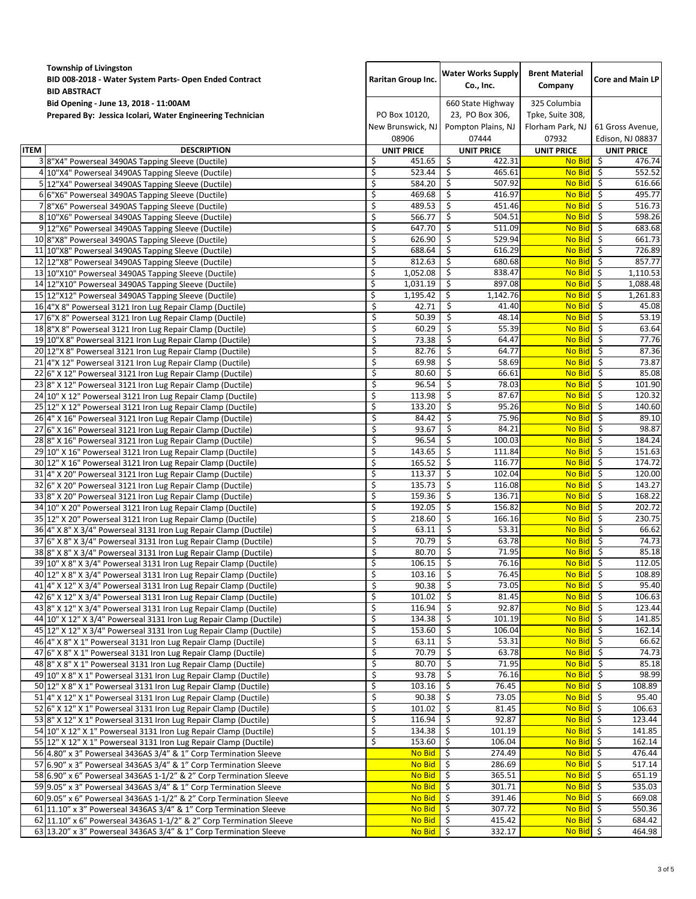|             | <b>Township of Livingston</b><br>BID 008-2018 - Water System Parts- Open Ended Contract<br><b>Raritan Group Inc.</b><br><b>BID ABSTRACT</b> |                                             | <b>Water Works Supply</b><br>Co., Inc.                              | <b>Brent Material</b><br>Company                                         | <b>Core and Main LP</b>              |  |
|-------------|---------------------------------------------------------------------------------------------------------------------------------------------|---------------------------------------------|---------------------------------------------------------------------|--------------------------------------------------------------------------|--------------------------------------|--|
|             | Bid Opening - June 13, 2018 - 11:00AM<br>Prepared By: Jessica Icolari, Water Engineering Technician                                         | PO Box 10120,<br>New Brunswick, NJ<br>08906 | 660 State Highway<br>23, PO Box 306,<br>Pompton Plains, NJ<br>07444 | 325 Columbia<br>Tpke, Suite 308,<br>Florham Park, NJ<br>07932            | 61 Gross Avenue,<br>Edison, NJ 08837 |  |
| <b>ITEM</b> | <b>DESCRIPTION</b>                                                                                                                          | <b>UNIT PRICE</b>                           | <b>UNIT PRICE</b>                                                   | <b>UNIT PRICE</b>                                                        | UNIT PRICE                           |  |
|             | 3 8"X4" Powerseal 3490AS Tapping Sleeve (Ductile)                                                                                           | \$<br>451.65                                | \$<br>422.31                                                        | <b>No Bid</b>                                                            | -\$<br>476.74                        |  |
|             | 4 10"X4" Powerseal 3490AS Tapping Sleeve (Ductile)                                                                                          | \$<br>523.44                                | \$<br>465.61                                                        | <b>No Bid</b>                                                            | \$<br>552.52                         |  |
|             | 5 12"X4" Powerseal 3490AS Tapping Sleeve (Ductile)                                                                                          | \$<br>584.20                                | \$<br>507.92                                                        | No Bid \$                                                                | 616.66                               |  |
|             | 6 6"X6" Powerseal 3490AS Tapping Sleeve (Ductile)                                                                                           | \$<br>469.68                                | \$<br>416.97                                                        | No Bid \$                                                                | 495.77                               |  |
|             | 78"X6" Powerseal 3490AS Tapping Sleeve (Ductile)                                                                                            | 489.53<br>\$                                | \$<br>451.46                                                        | $No$ Bid $\overline{S}$                                                  | 516.73                               |  |
|             | 8 10"X6" Powerseal 3490AS Tapping Sleeve (Ductile)                                                                                          | \$<br>566.77                                | \$<br>504.51                                                        | <b>No Bid</b>                                                            | 598.26<br>-\$                        |  |
|             | 9 12"X6" Powerseal 3490AS Tapping Sleeve (Ductile)                                                                                          | \$<br>647.70<br>\$<br>626.90                | \$<br>511.09<br>\$<br>529.94                                        | <b>No Bid</b><br>No Bid \$                                               | - \$<br>683.68<br>661.73             |  |
|             | 10 8"X8" Powerseal 3490AS Tapping Sleeve (Ductile)<br>11 10"X8" Powerseal 3490AS Tapping Sleeve (Ductile)                                   | \$<br>688.64                                | 616.29<br>\$                                                        | <b>No Bid</b>                                                            | 726.89<br>-\$                        |  |
|             | 12 12"X8" Powerseal 3490AS Tapping Sleeve (Ductile)                                                                                         | \$<br>812.63                                | \$<br>680.68                                                        | <b>No Bid</b>                                                            | 857.77<br>- \$                       |  |
|             | 13 10"X10" Powerseal 3490AS Tapping Sleeve (Ductile)                                                                                        | \$<br>1,052.08                              | \$<br>838.47                                                        | No Bid \$                                                                | 1,110.53                             |  |
|             | 14 12"X10" Powerseal 3490AS Tapping Sleeve (Ductile)                                                                                        | \$<br>1,031.19                              | \$<br>897.08                                                        | $\overline{No}$ Bid $\overline{S}$                                       | 1,088.48                             |  |
|             | 15 12"X12" Powerseal 3490AS Tapping Sleeve (Ductile)                                                                                        | \$<br>1,195.42                              | \$<br>1,142.76                                                      | <b>No Bid</b>                                                            | -\$<br>1,261.83                      |  |
|             | 16 4"X 8" Powerseal 3121 Iron Lug Repair Clamp (Ductile)                                                                                    | \$<br>42.71                                 | \$<br>41.40                                                         | <b>No Bid</b>                                                            | - \$<br>45.08                        |  |
|             | 17 6"X 8" Powerseal 3121 Iron Lug Repair Clamp (Ductile)                                                                                    | \$<br>50.39                                 | \$<br>48.14                                                         | No Bid \$                                                                | 53.19                                |  |
|             | 18 8"X 8" Powerseal 3121 Iron Lug Repair Clamp (Ductile)                                                                                    | \$<br>60.29                                 | \$<br>55.39                                                         | <b>No Bid</b>                                                            | 63.64<br>-\$                         |  |
|             | 19 10"X 8" Powerseal 3121 Iron Lug Repair Clamp (Ductile)                                                                                   | \$<br>73.38                                 | \$<br>64.47                                                         | <b>No Bid</b>                                                            | -\$<br>77.76                         |  |
|             | 20 12"X 8" Powerseal 3121 Iron Lug Repair Clamp (Ductile)                                                                                   | \$<br>82.76                                 | \$<br>64.77                                                         | <b>No Bid</b>                                                            | - \$<br>87.36                        |  |
|             | 21 4"X 12" Powerseal 3121 Iron Lug Repair Clamp (Ductile)                                                                                   | 69.98<br>\$                                 | \$<br>58.69                                                         | No Bid \$                                                                | 73.87                                |  |
|             | 22 6" X 12" Powerseal 3121 Iron Lug Repair Clamp (Ductile)<br>23 8" X 12" Powerseal 3121 Iron Lug Repair Clamp (Ductile)                    | \$<br>80.60<br>\$<br>96.54                  | \$<br>66.61<br>\$<br>78.03                                          | <b>No Bid</b><br><b>No Bid</b>                                           | - \$<br>85.08<br>- \$<br>101.90      |  |
|             | 24 10" X 12" Powerseal 3121 Iron Lug Repair Clamp (Ductile)                                                                                 | \$<br>113.98                                | \$<br>87.67                                                         | No Bid \$                                                                | 120.32                               |  |
|             | 25 12" X 12" Powerseal 3121 Iron Lug Repair Clamp (Ductile)                                                                                 | \$<br>133.20                                | \$<br>95.26                                                         | <b>No Bid</b>                                                            | 140.60<br>-\$                        |  |
|             | 26 4" X 16" Powerseal 3121 Iron Lug Repair Clamp (Ductile)                                                                                  | \$<br>84.42                                 | \$<br>75.96                                                         | <b>No Bid</b>                                                            | \$<br>89.10                          |  |
|             | 27 6" X 16" Powerseal 3121 Iron Lug Repair Clamp (Ductile)                                                                                  | \$<br>93.67                                 | \$<br>84.21                                                         | <b>No Bid</b>                                                            | 98.87<br>- \$                        |  |
|             | 28 8" X 16" Powerseal 3121 Iron Lug Repair Clamp (Ductile)                                                                                  | \$<br>96.54                                 | \$<br>100.03                                                        | No Bid \$                                                                | 184.24                               |  |
|             | 29 10" X 16" Powerseal 3121 Iron Lug Repair Clamp (Ductile)                                                                                 | \$<br>143.65                                | \$<br>111.84                                                        | <b>No Bid</b>                                                            | -\$<br>151.63                        |  |
|             | 30 12" X 16" Powerseal 3121 Iron Lug Repair Clamp (Ductile)                                                                                 | \$<br>165.52                                | \$<br>116.77                                                        | <b>No Bid</b>                                                            | \$<br>174.72                         |  |
|             | 31 4" X 20" Powerseal 3121 Iron Lug Repair Clamp (Ductile)                                                                                  | \$<br>113.37                                | \$<br>102.04                                                        | <b>No Bid</b>                                                            | - \$<br>120.00                       |  |
|             | 32 6" X 20" Powerseal 3121 Iron Lug Repair Clamp (Ductile)                                                                                  | \$<br>135.73                                | \$<br>116.08                                                        | $No$ Bid $\overline{S}$                                                  | 143.27                               |  |
|             | 33 8" X 20" Powerseal 3121 Iron Lug Repair Clamp (Ductile)                                                                                  | \$<br>159.36<br>\$<br>192.05                | \$<br>136.71<br>\$<br>156.82                                        | <b>No Bid</b><br><b>No Bid</b>                                           | 168.22<br>-\$<br>202.72<br>- \$      |  |
|             | 34 10" X 20" Powerseal 3121 Iron Lug Repair Clamp (Ductile)<br>35 12" X 20" Powerseal 3121 Iron Lug Repair Clamp (Ductile)                  | \$<br>218.60                                | \$<br>166.16                                                        | No Bid \$                                                                | 230.75                               |  |
|             | 36 4" X 8" X 3/4" Powerseal 3131 Iron Lug Repair Clamp (Ductile)                                                                            | \$<br>63.11                                 | \$<br>53.31                                                         | <b>No Bid</b>                                                            | - \$<br>66.62                        |  |
|             | 37 6" X 8" X 3/4" Powerseal 3131 Iron Lug Repair Clamp (Ductile)                                                                            | \$<br>70.79                                 | \$<br>63.78                                                         | <b>No Bid</b>                                                            | $\overline{\varsigma}$<br>74.73      |  |
|             | 38 8" X 8" X 3/4" Powerseal 3131 Iron Lug Repair Clamp (Ductile)                                                                            | \$<br>80.70                                 | \$<br>71.95                                                         | <b>No Bid</b>                                                            | \$<br>85.18                          |  |
|             | 39 10" X 8" X 3/4" Powerseal 3131 Iron Lug Repair Clamp (Ductile)                                                                           | \$<br>106.15                                | -\$<br>76.16                                                        | No Bid \$                                                                | 112.05                               |  |
|             | 40 12" X 8" X 3/4" Powerseal 3131 Iron Lug Repair Clamp (Ductile)                                                                           | \$<br>103.16                                | \$<br>76.45                                                         | No Bid \$                                                                | 108.89                               |  |
|             | 41 4" X 12" X 3/4" Powerseal 3131 Iron Lug Repair Clamp (Ductile)                                                                           | \$<br>90.38                                 | \$<br>73.05                                                         | No Bid \$                                                                | 95.40                                |  |
|             | 42 6" X 12" X 3/4" Powerseal 3131 Iron Lug Repair Clamp (Ductile)                                                                           | \$<br>101.02                                | \$<br>81.45                                                         | No Bid \$                                                                | 106.63                               |  |
|             | 43 8" X 12" X 3/4" Powerseal 3131 Iron Lug Repair Clamp (Ductile)                                                                           | \$<br>116.94                                | \$<br>92.87                                                         | No Bid \$                                                                | 123.44                               |  |
|             | 44 10" X 12" X 3/4" Powerseal 3131 Iron Lug Repair Clamp (Ductile)<br>45 12" X 12" X 3/4" Powerseal 3131 Iron Lug Repair Clamp (Ductile)    | \$<br>134.38<br>\$<br>153.60                | \$<br>101.19<br>\$<br>106.04                                        | No Bid<br>No Bid \$                                                      | -\$<br>141.85<br>162.14              |  |
|             | 46 4" X 8" X 1" Powerseal 3131 Iron Lug Repair Clamp (Ductile)                                                                              | \$<br>63.11                                 | \$<br>53.31                                                         | No Bid \$                                                                | 66.62                                |  |
|             | 47 6" X 8" X 1" Powerseal 3131 Iron Lug Repair Clamp (Ductile)                                                                              | \$<br>70.79                                 | \$<br>63.78                                                         | No Bid \$                                                                | 74.73                                |  |
|             | 48 8" X 8" X 1" Powerseal 3131 Iron Lug Repair Clamp (Ductile)                                                                              | \$<br>80.70                                 | \$<br>71.95                                                         | No Bid \$                                                                | 85.18                                |  |
|             | 49 10" X 8" X 1" Powerseal 3131 Iron Lug Repair Clamp (Ductile)                                                                             | \$<br>93.78                                 | \$<br>76.16                                                         | No Bid \$                                                                | 98.99                                |  |
|             | 50 12" X 8" X 1" Powerseal 3131 Iron Lug Repair Clamp (Ductile)                                                                             | \$<br>103.16                                | \$<br>76.45                                                         | $\overline{No}$ Bid $\overline{S}$                                       | 108.89                               |  |
|             | 51 4" X 12" X 1" Powerseal 3131 Iron Lug Repair Clamp (Ductile)                                                                             | \$<br>90.38                                 | \$<br>73.05                                                         | <b>No Bid</b>                                                            | - \$<br>95.40                        |  |
|             | 52 6" X 12" X 1" Powerseal 3131 Iron Lug Repair Clamp (Ductile)                                                                             | \$<br>101.02                                | \$<br>81.45                                                         | $\overline{No}$ Bid $\overline{S}$                                       | 106.63                               |  |
|             | 53 8" X 12" X 1" Powerseal 3131 Iron Lug Repair Clamp (Ductile)                                                                             | \$<br>116.94                                | \$<br>92.87                                                         | No Bid \$                                                                | 123.44                               |  |
|             | 54 10" X 12" X 1" Powerseal 3131 Iron Lug Repair Clamp (Ductile)                                                                            | \$<br>134.38                                | \$<br>101.19                                                        | $\overline{N}$ Bid $\overline{S}$                                        | 141.85                               |  |
|             | 55 12" X 12" X 1" Powerseal 3131 Iron Lug Repair Clamp (Ductile)<br>56 4.80" x 3" Powerseal 3436AS 3/4" & 1" Corp Termination Sleeve        | \$<br>153.60<br>No Bid \$                   | \$<br>106.04<br>274.49                                              | $\overline{No}$ Bid $\overline{S}$<br>$\overline{No}$ Bid $\overline{S}$ | 162.14<br>476.44                     |  |
|             | 57 6.90" x 3" Powerseal 3436AS 3/4" & 1" Corp Termination Sleeve                                                                            | No Bid                                      | Ŝ.<br>286.69                                                        | No Bid \$                                                                | 517.14                               |  |
|             | 58 6.90" x 6" Powerseal 3436AS 1-1/2" & 2" Corp Termination Sleeve                                                                          | No Bid                                      | 365.51<br>-\$                                                       | No Bid \$                                                                | 651.19                               |  |
|             | 59 9.05" x 3" Powerseal 3436AS 3/4" & 1" Corp Termination Sleeve                                                                            | No Bid                                      | -\$<br>301.71                                                       | No Bid \$                                                                | 535.03                               |  |
|             | 60 9.05" x 6" Powerseal 3436AS 1-1/2" & 2" Corp Termination Sleeve                                                                          | No Bid                                      | -\$<br>391.46                                                       | $\overline{N}$ Bid $\overline{S}$                                        | 669.08                               |  |
|             | 61 11.10" x 3" Powerseal 3436AS 3/4" & 1" Corp Termination Sleeve                                                                           | No Bid                                      | \$<br>307.72                                                        | No Bid \$                                                                | 550.36                               |  |
|             | 62 11.10" x 6" Powerseal 3436AS 1-1/2" & 2" Corp Termination Sleeve                                                                         | No Bid                                      | \$<br>415.42                                                        | No Bid \$                                                                | 684.42                               |  |
|             | 63 13.20" x 3" Powerseal 3436AS 3/4" & 1" Corp Termination Sleeve                                                                           | $No$ Bid $\frac{1}{2}$                      | 332.17                                                              | No Bid \$                                                                | 464.98                               |  |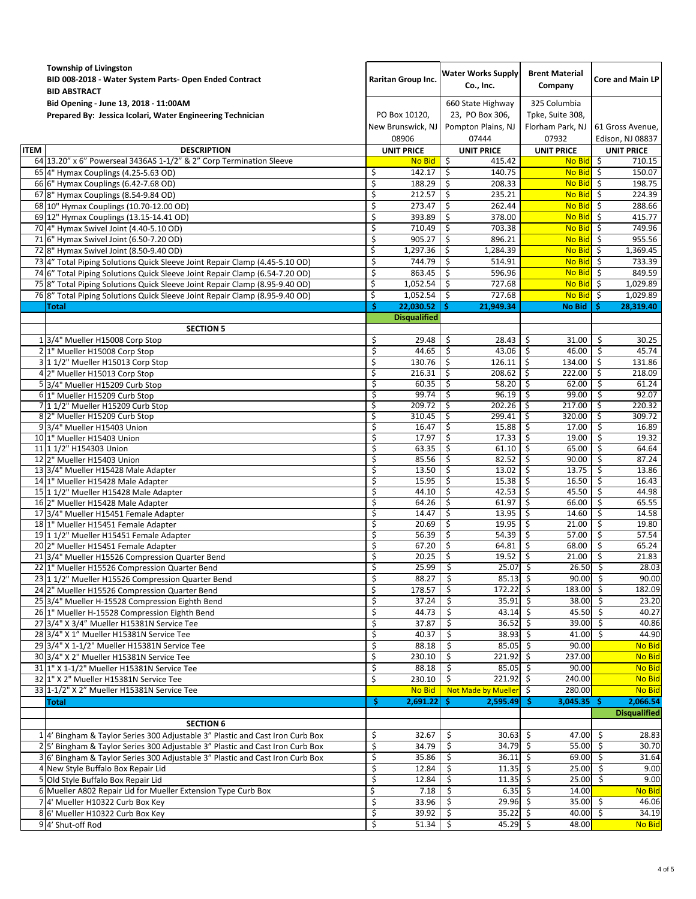|             | <b>Township of Livingston</b><br>BID 008-2018 - Water System Parts- Open Ended Contract<br><b>BID ABSTRACT</b>                                                 | <b>Raritan Group Inc.</b>                   |                     | <b>Water Works Supply</b><br>Co., Inc.                              |                          | <b>Brent Material</b><br>Company                              | <b>Core and Main LP</b> |                                      |  |
|-------------|----------------------------------------------------------------------------------------------------------------------------------------------------------------|---------------------------------------------|---------------------|---------------------------------------------------------------------|--------------------------|---------------------------------------------------------------|-------------------------|--------------------------------------|--|
|             | Bid Opening - June 13, 2018 - 11:00AM<br>Prepared By: Jessica Icolari, Water Engineering Technician                                                            | PO Box 10120,<br>New Brunswick, NJ<br>08906 |                     | 660 State Highway<br>23, PO Box 306,<br>Pompton Plains, NJ<br>07444 |                          | 325 Columbia<br>Tpke, Suite 308,<br>Florham Park, NJ<br>07932 |                         | 61 Gross Avenue,<br>Edison, NJ 08837 |  |
| <b>ITEM</b> | <b>DESCRIPTION</b>                                                                                                                                             |                                             | <b>UNIT PRICE</b>   |                                                                     | <b>UNIT PRICE</b>        | <b>UNIT PRICE</b>                                             |                         | <b>UNIT PRICE</b>                    |  |
|             | 64 13.20" x 6" Powerseal 3436AS 1-1/2" & 2" Corp Termination Sleeve                                                                                            |                                             | No Bid              | -\$                                                                 | 415.42                   | <b>No Bid</b>                                                 | -\$                     | 710.15                               |  |
|             | 65 4" Hymax Couplings (4.25-5.63 OD)                                                                                                                           | \$                                          | 142.17              | \$                                                                  | 140.75                   | <b>No Bid</b>                                                 | -\$                     | 150.07                               |  |
|             | 66 6" Hymax Couplings (6.42-7.68 OD)                                                                                                                           | \$                                          | 188.29              | \$                                                                  | 208.33                   | No Bid \$                                                     |                         | 198.75                               |  |
|             | 67 8" Hymax Couplings (8.54-9.84 OD)                                                                                                                           | \$                                          | 212.57              | \$                                                                  | 235.21                   | $\overline{No}$ Bid $\overline{S}$                            |                         | 224.39                               |  |
|             | 68 10" Hymax Couplings (10.70-12.00 OD)                                                                                                                        | \$                                          | 273.47              | \$                                                                  | 262.44                   | No Bid \$                                                     |                         | 288.66                               |  |
|             | 69 12" Hymax Couplings (13.15-14.41 OD)                                                                                                                        | \$<br>\$                                    | 393.89<br>710.49    | \$                                                                  | 378.00<br>703.38         | No Bid<br>No Bid \$                                           | -\$                     | 415.77                               |  |
|             | 70 4" Hymax Swivel Joint (4.40-5.10 OD)<br>71 6" Hymax Swivel Joint (6.50-7.20 OD)                                                                             | Ś.                                          | 905.27              | \$<br>\$                                                            | 896.21                   | No Bid \$                                                     |                         | 749.96<br>955.56                     |  |
|             | 72 8" Hymax Swivel Joint (8.50-9.40 OD)                                                                                                                        | \$                                          | 1,297.36            | \$                                                                  | 1,284.39                 | No Bid \$                                                     |                         | 1,369.45                             |  |
|             | 73 4" Total Piping Solutions Quick Sleeve Joint Repair Clamp (4.45-5.10 OD)                                                                                    | \$                                          | 744.79              | \$                                                                  | 514.91                   | No Bid \$                                                     |                         | 733.39                               |  |
|             | 74 6" Total Piping Solutions Quick Sleeve Joint Repair Clamp (6.54-7.20 OD)                                                                                    | \$                                          | 863.45              | \$                                                                  | 596.96                   | $\overline{N}$ Bid $\overline{S}$                             |                         | 849.59                               |  |
|             | 75 8" Total Piping Solutions Quick Sleeve Joint Repair Clamp (8.95-9.40 OD)                                                                                    | \$                                          | 1,052.54            | \$                                                                  | 727.68                   | No Bid \$                                                     |                         | 1,029.89                             |  |
|             | 76 8" Total Piping Solutions Quick Sleeve Joint Repair Clamp (8.95-9.40 OD)                                                                                    | \$                                          | 1,052.54            | \$                                                                  | 727.68                   | <b>No Bid</b>                                                 | -\$                     | 1,029.89                             |  |
|             | Total                                                                                                                                                          | -Ś                                          | 22.030.52           | Ŝ.                                                                  | 21,949.34                | <b>No Bid</b>                                                 | -Ś                      | 28,319.40                            |  |
|             |                                                                                                                                                                |                                             | <b>Disqualified</b> |                                                                     |                          |                                                               |                         |                                      |  |
|             | <b>SECTION 5</b>                                                                                                                                               |                                             |                     |                                                                     |                          |                                                               |                         |                                      |  |
|             | 1 3/4" Mueller H15008 Corp Stop                                                                                                                                | \$                                          | 29.48               | \$                                                                  | 28.43                    | 31.00<br>\$                                                   | -\$                     | 30.25                                |  |
|             | 2 1" Mueller H15008 Corp Stop                                                                                                                                  | $\zeta$                                     | 44.65               | \$                                                                  | 43.06                    | \$<br>46.00                                                   | \$                      | 45.74                                |  |
|             | 3 1 1/2" Mueller H15013 Corp Stop                                                                                                                              | \$                                          | 130.76              | Ś.                                                                  | 126.11                   | \$<br>134.00                                                  | \$                      | 131.86                               |  |
|             | 4 2" Mueller H15013 Corp Stop                                                                                                                                  | \$                                          | 216.31              | \$                                                                  | 208.62                   | \$<br>222.00                                                  | \$.                     | 218.09                               |  |
|             | 5 3/4" Mueller H15209 Curb Stop<br>6 1" Mueller H15209 Curb Stop                                                                                               | \$<br>\$                                    | 60.35<br>99.74      | \$<br>\$                                                            | 58.20<br>96.19           | \$<br>62.00<br>\$<br>99.00                                    | -\$<br>\$               | 61.24<br>92.07                       |  |
|             | 7 1 1/2" Mueller H15209 Curb Stop                                                                                                                              | \$                                          | 209.72              | \$                                                                  | 202.26                   | \$<br>217.00                                                  | \$                      | 220.32                               |  |
|             | 8 2" Mueller H15209 Curb Stop                                                                                                                                  | \$                                          | 310.45              | \$                                                                  | 299.41                   | \$<br>320.00                                                  | \$.                     | 309.72                               |  |
|             | 9 3/4" Mueller H15403 Union                                                                                                                                    | \$                                          | 16.47               | \$                                                                  | 15.88                    | \$<br>17.00                                                   | -\$                     | 16.89                                |  |
|             | 10 1" Mueller H15403 Union                                                                                                                                     | \$                                          | 17.97               | \$                                                                  | 17.33                    | \$<br>19.00                                                   | \$                      | 19.32                                |  |
|             | 11 1 1/2" H154303 Union                                                                                                                                        | \$                                          | 63.35               | \$                                                                  | 61.10                    | \$<br>65.00                                                   | \$                      | 64.64                                |  |
|             | 12 2" Mueller H15403 Union                                                                                                                                     | \$                                          | 85.56               | \$                                                                  | 82.52                    | \$<br>90.00                                                   | \$                      | 87.24                                |  |
|             | 13 3/4" Mueller H15428 Male Adapter                                                                                                                            | \$                                          | 13.50               | \$                                                                  | 13.02                    | \$<br>13.75                                                   | \$                      | 13.86                                |  |
|             | 14 1" Mueller H15428 Male Adapter                                                                                                                              | \$                                          | 15.95               | \$<br>Ś.                                                            | 15.38                    | \$<br>16.50                                                   | -\$                     | 16.43                                |  |
|             | 15 11/2" Mueller H15428 Male Adapter<br>16 2" Mueller H15428 Male Adapter                                                                                      | \$<br>\$                                    | 44.10<br>64.26      | \$                                                                  | 42.53<br>61.97           | \$<br>45.50<br>\$<br>66.00                                    | \$<br>\$                | 44.98<br>65.55                       |  |
|             | 17 3/4" Mueller H15451 Female Adapter                                                                                                                          | \$                                          | 14.47               | \$                                                                  | 13.95                    | \$<br>14.60                                                   | \$                      | 14.58                                |  |
|             | 18 1" Mueller H15451 Female Adapter                                                                                                                            | \$                                          | 20.69               | \$                                                                  | 19.95                    | 21.00<br>\$                                                   | \$                      | 19.80                                |  |
|             | 19 1 1/2" Mueller H15451 Female Adapter                                                                                                                        | \$                                          | 56.39               | \$                                                                  | 54.39                    | \$<br>57.00                                                   | -\$                     | 57.54                                |  |
|             | 20 2" Mueller H15451 Female Adapter                                                                                                                            | \$                                          | 67.20               | \$                                                                  | 64.81                    | \$<br>68.00                                                   | -\$                     | 65.24                                |  |
|             | 21 3/4" Mueller H15526 Compression Quarter Bend                                                                                                                | \$                                          | 20.25               | \$                                                                  | 19.52                    | \$<br>21.00                                                   | -\$                     | 21.83                                |  |
|             | 22 1" Mueller H15526 Compression Quarter Bend                                                                                                                  | \$                                          | $25.99$ \$          |                                                                     | $25.07$ \$               | 26.50%                                                        |                         | 28.03                                |  |
|             | 23 1 1/2" Mueller H15526 Compression Quarter Bend                                                                                                              | \$                                          | 88.27               | \$                                                                  | $85.13$ \$               | 90.00 \$                                                      |                         | 90.00                                |  |
|             | 24 2" Mueller H15526 Compression Quarter Bend                                                                                                                  | \$                                          | 178.57              | \$                                                                  | $172.22$ \$              | 183.00 \$                                                     |                         | 182.09                               |  |
|             | 25 3/4" Mueller H-15528 Compression Eighth Bend                                                                                                                | \$<br>\$                                    | 37.24<br>44.73      | \$<br>\$                                                            | $35.91$ \$<br>$43.14$ \$ | 38.00 \$<br>45.50 \$                                          |                         | 23.20<br>40.27                       |  |
|             | 26 1" Mueller H-15528 Compression Eighth Bend<br>27 3/4" X 3/4" Mueller H15381N Service Tee                                                                    | \$                                          | 37.87               | \$                                                                  | $36.52 \div$             | 39.00 \$                                                      |                         | 40.86                                |  |
|             | 28 3/4" X 1" Mueller H15381N Service Tee                                                                                                                       | \$                                          | 40.37               | \$                                                                  | $38.93$ \$               | $41.00\%$                                                     |                         | 44.90                                |  |
|             | 29 3/4" X 1-1/2" Mueller H15381N Service Tee                                                                                                                   | \$                                          | 88.18               | \$                                                                  | $85.05$ \$               | 90.00                                                         |                         | No Bid                               |  |
|             | 30 3/4" X 2" Mueller H15381N Service Tee                                                                                                                       | \$                                          | 230.10              | \$                                                                  | 221.92 \$                | 237.00                                                        |                         | No Bid                               |  |
|             | 31 1" X 1-1/2" Mueller H15381N Service Tee                                                                                                                     | \$                                          | 88.18               | \$                                                                  | $85.05$ \$               | 90.00                                                         |                         | No Bid                               |  |
|             | 32 1" X 2" Mueller H15381N Service Tee                                                                                                                         | \$                                          | 230.10              | \$.                                                                 | $221.92$ \$              | 240.00                                                        |                         | No Bid                               |  |
|             | 33 1-1/2" X 2" Mueller H15381N Service Tee                                                                                                                     |                                             | No Bid              |                                                                     | Not Made by Mueller \$   | 280.00                                                        |                         | No Bid                               |  |
|             | <b>Total</b>                                                                                                                                                   | S.                                          | $2,691.22$ \$       |                                                                     | $2,595.49$ \$            | $3,045.35$ \$                                                 |                         | 2,066.54                             |  |
|             |                                                                                                                                                                |                                             |                     |                                                                     |                          |                                                               |                         | <b>Disqualified</b>                  |  |
|             | <b>SECTION 6</b>                                                                                                                                               |                                             |                     |                                                                     |                          |                                                               |                         |                                      |  |
|             | 1 4' Bingham & Taylor Series 300 Adjustable 3" Plastic and Cast Iron Curb Box                                                                                  | \$<br>\$                                    | 32.67<br>34.79      | \$,<br>\$                                                           | $30.63$ \$<br>34.79 \$   | $47.00$ \$<br>$55.00 \mid \xi$                                |                         | 28.83<br>30.70                       |  |
|             | 2 5' Bingham & Taylor Series 300 Adjustable 3" Plastic and Cast Iron Curb Box<br>3 6' Bingham & Taylor Series 300 Adjustable 3" Plastic and Cast Iron Curb Box | \$                                          | 35.86               | \$                                                                  | $36.11 \pm$              | 69.00 \$                                                      |                         | 31.64                                |  |
|             | 4 New Style Buffalo Box Repair Lid                                                                                                                             | \$                                          | 12.84               | \$                                                                  | $11.35$ \$               | $25.00 \mid \xi$                                              |                         | 9.00                                 |  |
|             | 5 Old Style Buffalo Box Repair Lid                                                                                                                             | \$                                          | 12.84               | \$                                                                  | $11.35$ \$               | $25.00\frac{1}{2}$                                            |                         | 9.00                                 |  |
|             | 6 Mueller A802 Repair Lid for Mueller Extension Type Curb Box                                                                                                  | \$                                          | 7.18                | \$                                                                  | $6.35$ \$                | 14.00                                                         |                         | <b>No Bid</b>                        |  |
|             | 7 4' Mueller H10322 Curb Box Key                                                                                                                               | \$                                          | 33.96               | \$                                                                  | $29.96 \&$               | $35.00 \mid \xi$                                              |                         | 46.06                                |  |
|             | 8 6' Mueller H10322 Curb Box Key                                                                                                                               | \$                                          | 39.92               | \$                                                                  | $35.22 \div$             | $40.00\frac{1}{5}$                                            |                         | 34.19                                |  |
|             | 9 4' Shut-off Rod                                                                                                                                              | \$                                          | 51.34               | \$                                                                  | 45.29 \$                 | 48.00                                                         |                         | No Bid                               |  |